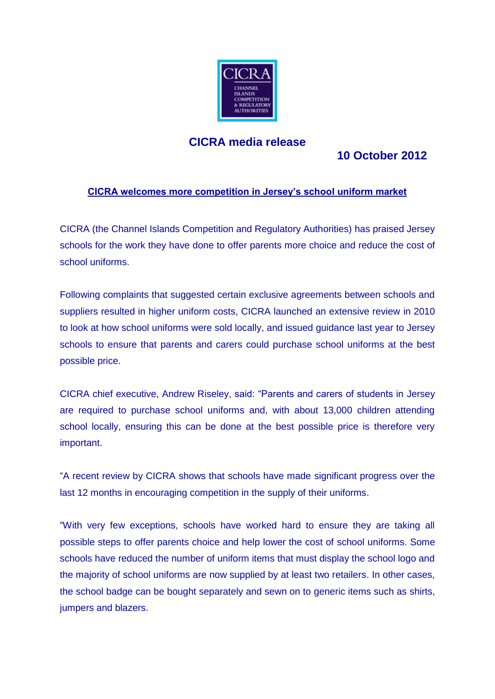

## **CICRA media release**

# **10 October 2012**

### **CICRA welcomes more competition in Jersey's school uniform market**

CICRA (the Channel Islands Competition and Regulatory Authorities) has praised Jersey schools for the work they have done to offer parents more choice and reduce the cost of school uniforms.

Following complaints that suggested certain exclusive agreements between schools and suppliers resulted in higher uniform costs, CICRA launched an extensive review in 2010 to look at how school uniforms were sold locally, and issued guidance last year to Jersey schools to ensure that parents and carers could purchase school uniforms at the best possible price.

CICRA chief executive, Andrew Riseley, said: "Parents and carers of students in Jersey are required to purchase school uniforms and, with about 13,000 children attending school locally, ensuring this can be done at the best possible price is therefore very important.

"A recent review by CICRA shows that schools have made significant progress over the last 12 months in encouraging competition in the supply of their uniforms.

"With very few exceptions, schools have worked hard to ensure they are taking all possible steps to offer parents choice and help lower the cost of school uniforms. Some schools have reduced the number of uniform items that must display the school logo and the majority of school uniforms are now supplied by at least two retailers. In other cases, the school badge can be bought separately and sewn on to generic items such as shirts, jumpers and blazers.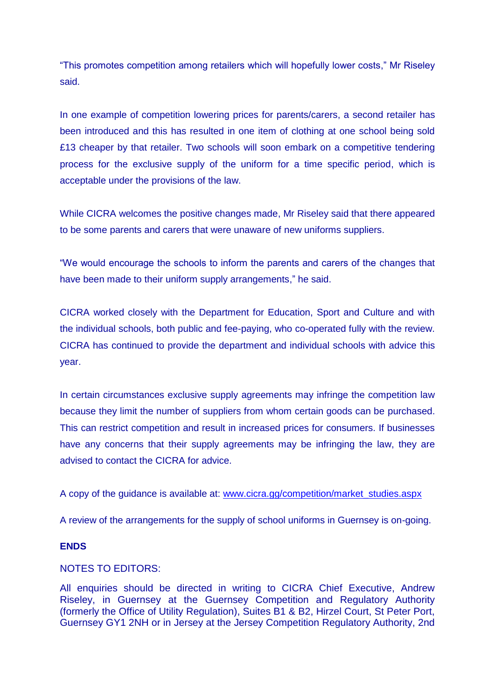"This promotes competition among retailers which will hopefully lower costs," Mr Riseley said.

In one example of competition lowering prices for parents/carers, a second retailer has been introduced and this has resulted in one item of clothing at one school being sold £13 cheaper by that retailer. Two schools will soon embark on a competitive tendering process for the exclusive supply of the uniform for a time specific period, which is acceptable under the provisions of the law.

While CICRA welcomes the positive changes made, Mr Riseley said that there appeared to be some parents and carers that were unaware of new uniforms suppliers.

"We would encourage the schools to inform the parents and carers of the changes that have been made to their uniform supply arrangements," he said.

CICRA worked closely with the Department for Education, Sport and Culture and with the individual schools, both public and fee-paying, who co-operated fully with the review. CICRA has continued to provide the department and individual schools with advice this year.

In certain circumstances exclusive supply agreements may infringe the competition law because they limit the number of suppliers from whom certain goods can be purchased. This can restrict competition and result in increased prices for consumers. If businesses have any concerns that their supply agreements may be infringing the law, they are advised to contact the CICRA for advice.

A copy of the guidance is available at: [www.cicra.gg/competition/market\\_studies.aspx](http://www.cicra.gg/competition/market_studies.aspx)

A review of the arrangements for the supply of school uniforms in Guernsey is on-going.

#### **ENDS**

### NOTES TO EDITORS:

All enquiries should be directed in writing to CICRA Chief Executive, Andrew Riseley, in Guernsey at the Guernsey Competition and Regulatory Authority (formerly the Office of Utility Regulation), Suites B1 & B2, Hirzel Court, St Peter Port, Guernsey GY1 2NH or in Jersey at the Jersey Competition Regulatory Authority, 2nd